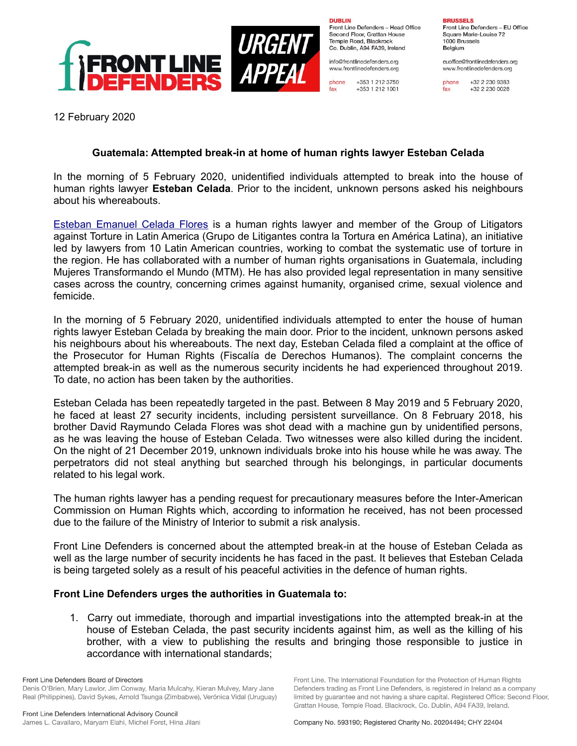

**DUBLIN** Front Line Defenders - Head Office Second Floor, Grattan House Temple Road, Blackrock Co. Dublin, A94 FA39, Ireland

info@frontlinedefenders.org www.frontlinedefenders.org

+353 1 212 3750 phone  $fax$ +353 1 212 1001

**BRUSSELS** Front Line Defenders - EU Office Square Marie-Louise 72 1000 Brussels Belgium

euoffice@frontlinedefenders.org www.frontlinedefenders.org

+32 2 230 9383 phone  $fax$ +32 2 230 0028

12 February 2020

## **Guatemala: Attempted break-in at home of human rights lawyer Esteban Celada**

In the morning of 5 February 2020, unidentified individuals attempted to break into the house of human rights lawyer **Esteban Celada**. Prior to the incident, unknown persons asked his neighbours about his whereabouts.

[Esteban Emanuel Celada Flores](https://www.frontlinedefenders.org/en/profile/esteban-emanuel-celada-flores) is a human rights lawyer and member of the Group of Litigators against Torture in Latin America (Grupo de Litigantes contra la Tortura en América Latina), an initiative led by lawyers from 10 Latin American countries, working to combat the systematic use of torture in the region. He has collaborated with a number of human rights organisations in Guatemala, including Mujeres Transformando el Mundo (MTM). He has also provided legal representation in many sensitive cases across the country, concerning crimes against humanity, organised crime, sexual violence and femicide.

In the morning of 5 February 2020, unidentified individuals attempted to enter the house of human rights lawyer Esteban Celada by breaking the main door. Prior to the incident, unknown persons asked his neighbours about his whereabouts. The next day, Esteban Celada filed a complaint at the office of the Prosecutor for Human Rights (Fiscalía de Derechos Humanos). The complaint concerns the attempted break-in as well as the numerous security incidents he had experienced throughout 2019. To date, no action has been taken by the authorities.

Esteban Celada has been repeatedly targeted in the past. Between 8 May 2019 and 5 February 2020, he faced at least 27 security incidents, including persistent surveillance. On 8 February 2018, his brother David Raymundo Celada Flores was shot dead with a machine gun by unidentified persons, as he was leaving the house of Esteban Celada. Two witnesses were also killed during the incident. On the night of 21 December 2019, unknown individuals broke into his house while he was away. The perpetrators did not steal anything but searched through his belongings, in particular documents related to his legal work.

The human rights lawyer has a pending request for precautionary measures before the Inter-American Commission on Human Rights which, according to information he received, has not been processed due to the failure of the Ministry of Interior to submit a risk analysis.

Front Line Defenders is concerned about the attempted break-in at the house of Esteban Celada as well as the large number of security incidents he has faced in the past. It believes that Esteban Celada is being targeted solely as a result of his peaceful activities in the defence of human rights.

## **Front Line Defenders urges the authorities in Guatemala to:**

1. Carry out immediate, thorough and impartial investigations into the attempted break-in at the house of Esteban Celada, the past security incidents against him, as well as the killing of his brother, with a view to publishing the results and bringing those responsible to justice in accordance with international standards;

Front Line Defenders Board of Directors Denis O'Brien, Mary Lawlor, Jim Conway, Maria Mulcahy, Kieran Mulvey, Mary Jane Real (Philippines), David Sykes, Arnold Tsunga (Zimbabwe), Verónica Vidal (Uruguay) Front Line, The International Foundation for the Protection of Human Rights

Defenders trading as Front Line Defenders, is registered in Ireland as a company

limited by quarantee and not having a share capital. Registered Office: Second Floor,